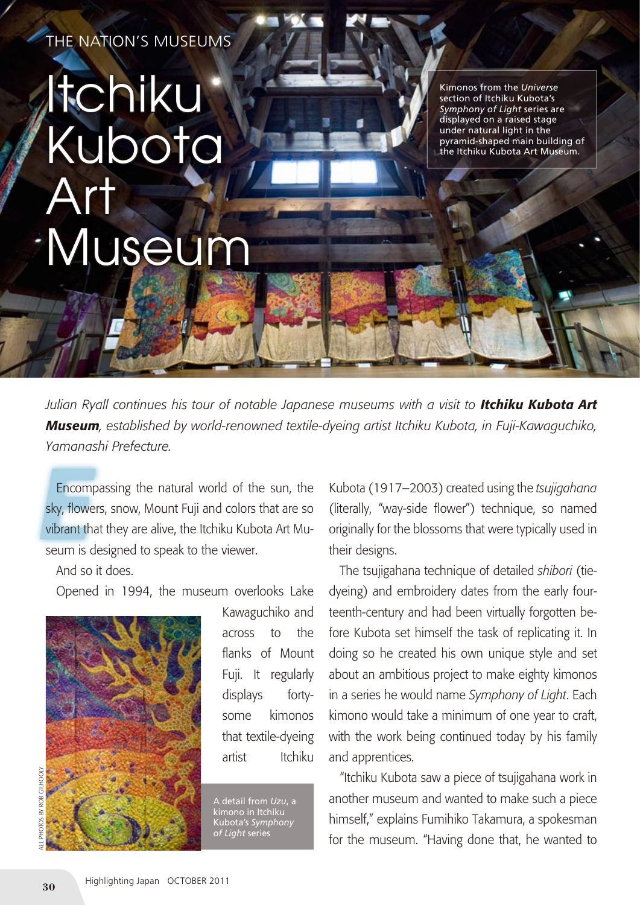THE NATION'S MUSEUMS

## Itchiku Kubota Art Museum

Kimonos from the *Universe* section of Itchiku Kubota's *Symphony of Light* series are displayed on a raised stage under natural light in the pyramid-shaped main building of the Itchiku Kubota Art Museum.

*Julian Ryall continues his tour of notable Japanese museums with a visit to Itchiku Kubota Art Museum, established by world-renowned textile-dyeing artist Itchiku Kubota, in Fuji-Kawaguchiko, Yamanashi Prefecture.*

**Encomp**<br>sky, flower<br>vibrant tha Encompassing the natural world of the sun, the sky, flowers, snow, Mount Fuji and colors that are so vibrant that they are alive, the Itchiku Kubota Art Museum is designed to speak to the viewer.

And so it does.

Opened in 1994, the museum overlooks Lake



Kawaguchiko and across to the flanks of Mount Fuji. It regularly displays fortysome kimonos that textile-dyeing artist Itchiku

A detail from *Uzu*, a kimono in Itchiku Kubota's *Symphony of Light* series

Kubota (1917–2003) created using the *tsujigahana* (literally, "way-side flower") technique, so named originally for the blossoms that were typically used in their designs.

The tsujigahana technique of detailed *shibori* (tiedyeing) and embroidery dates from the early fourteenth-century and had been virtually forgotten before Kubota set himself the task of replicating it. In doing so he created his own unique style and set about an ambitious project to make eighty kimonos in a series he would name *Symphony of Light*. Each kimono would take a minimum of one year to craft, with the work being continued today by his family and apprentices.

"Itchiku Kubota saw a piece of tsujigahana work in another museum and wanted to make such a piece himself," explains Fumihiko Takamura, a spokesman for the museum. "Having done that, he wanted to